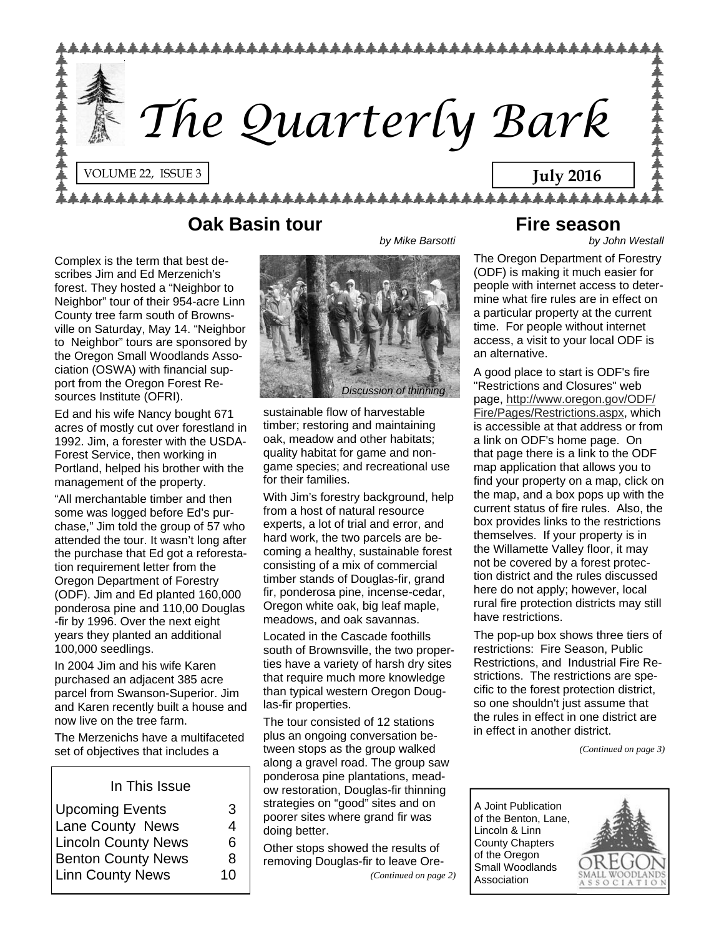

#### **Oak Basin tour**

Complex is the term that best describes Jim and Ed Merzenich's forest. They hosted a "Neighbor to Neighbor" tour of their 954-acre Linn County tree farm south of Brownsville on Saturday, May 14. "Neighbor to Neighbor" tours are sponsored by the Oregon Small Woodlands Association (OSWA) with financial support from the Oregon Forest Resources Institute (OFRI).

Ed and his wife Nancy bought 671 acres of mostly cut over forestland in 1992. Jim, a forester with the USDA-Forest Service, then working in Portland, helped his brother with the management of the property.

"All merchantable timber and then some was logged before Ed's purchase," Jim told the group of 57 who attended the tour. It wasn't long after the purchase that Ed got a reforestation requirement letter from the Oregon Department of Forestry (ODF). Jim and Ed planted 160,000 ponderosa pine and 110,00 Douglas -fir by 1996. Over the next eight years they planted an additional 100,000 seedlings.

In 2004 Jim and his wife Karen purchased an adjacent 385 acre parcel from Swanson-Superior. Jim and Karen recently built a house and now live on the tree farm.

The Merzenichs have a multifaceted set of objectives that includes a

In This Issue

| З  |
|----|
| 4  |
| 6  |
| 8  |
| 10 |
|    |

# *Discussion of thinning*

*by Mike Barsotti* 

sustainable flow of harvestable timber; restoring and maintaining oak, meadow and other habitats; quality habitat for game and nongame species; and recreational use for their families.

With Jim's forestry background, help from a host of natural resource experts, a lot of trial and error, and hard work, the two parcels are becoming a healthy, sustainable forest consisting of a mix of commercial timber stands of Douglas-fir, grand fir, ponderosa pine, incense-cedar, Oregon white oak, big leaf maple, meadows, and oak savannas.

Located in the Cascade foothills south of Brownsville, the two properties have a variety of harsh dry sites that require much more knowledge than typical western Oregon Douglas-fir properties.

The tour consisted of 12 stations plus an ongoing conversation between stops as the group walked along a gravel road. The group saw ponderosa pine plantations, meadow restoration, Douglas-fir thinning strategies on "good" sites and on poorer sites where grand fir was doing better.

Other stops showed the results of removing Douglas-fir to leave Ore- *(Continued on page 2)* 

#### **Fire season**

*by John Westall* 

The Oregon Department of Forestry (ODF) is making it much easier for people with internet access to determine what fire rules are in effect on a particular property at the current time. For people without internet access, a visit to your local ODF is an alternative.

A good place to start is ODF's fire "Restrictions and Closures" web page, [http://www.oregon.gov/ODF/](http://www.oregon.gov/ODF/Fire/Pages/Restrictions.aspx) [Fire/Pages/Restrictions.aspx,](http://www.oregon.gov/ODF/Fire/Pages/Restrictions.aspx) which is accessible at that address or from a link on ODF's home page. On that page there is a link to the ODF map application that allows you to find your property on a map, click on the map, and a box pops up with the current status of fire rules. Also, the box provides links to the restrictions themselves. If your property is in the Willamette Valley floor, it may not be covered by a forest protection district and the rules discussed here do not apply; however, local rural fire protection districts may still have restrictions.

The pop-up box shows three tiers of restrictions: Fire Season, Public Restrictions, and Industrial Fire Restrictions. The restrictions are specific to the forest protection district, so one shouldn't just assume that the rules in effect in one district are in effect in another district.

*(Continued on page 3)* 

A Joint Publication of the Benton, Lane, Lincoln & Linn County Chapters of the Oregon Small Woodlands Association

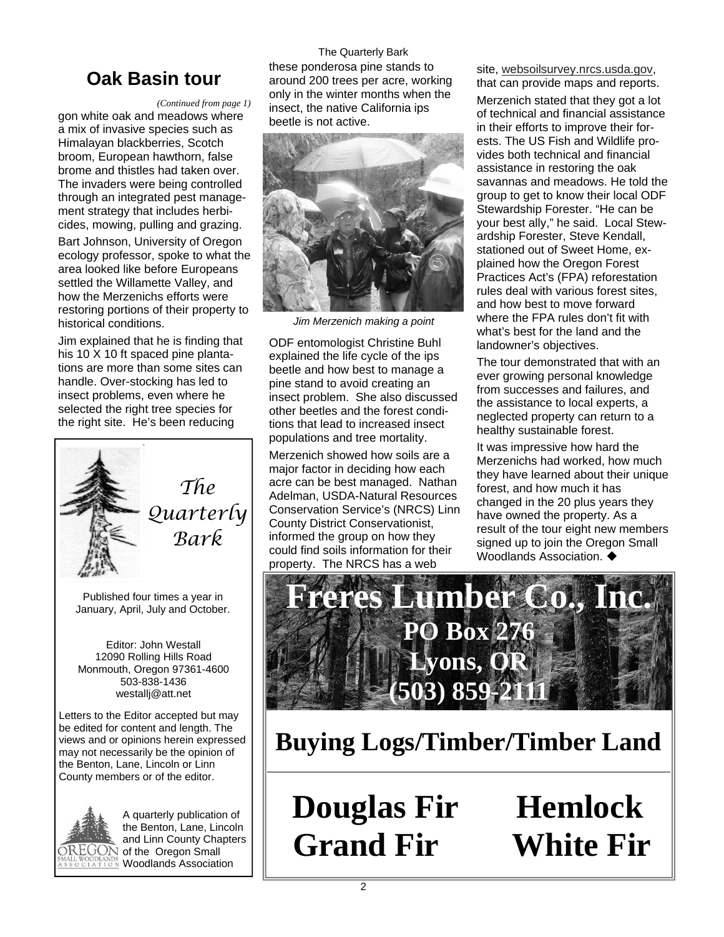#### *(Continued from page 1)*

gon white oak and meadows where a mix of invasive species such as Himalayan blackberries, Scotch broom, European hawthorn, false brome and thistles had taken over. The invaders were being controlled through an integrated pest management strategy that includes herbicides, mowing, pulling and grazing. Bart Johnson, University of Oregon ecology professor, spoke to what the area looked like before Europeans settled the Willamette Valley, and how the Merzenichs efforts were restoring portions of their property to

Jim explained that he is finding that his 10 X 10 ft spaced pine plantations are more than some sites can handle. Over-stocking has led to insect problems, even where he selected the right tree species for the right site. He's been reducing



historical conditions.

*The Quarterly Bark* 

Published four times a year in January, April, July and October.

Editor: John Westall 12090 Rolling Hills Road Monmouth, Oregon 97361-4600 503-838-1436 westallj@att.net

Letters to the Editor accepted but may be edited for content and length. The views and or opinions herein expressed may not necessarily be the opinion of the Benton, Lane, Lincoln or Linn County members or of the editor.



A quarterly publication of the Benton, Lane, Lincoln and Linn County Chapters  $\widehat{\mathrm{OREGON}}$  of the Oregon Small **Woodlands Association** 

The Quarterly Bark these ponderosa pine stands to around 200 trees per acre, working only in the winter months when the insect, the native California ips beetle is not active. these ponderosa pine stands to site, [websoilsurvey.nrcs.usda.gov,](http://websoilsurvey.nrcs.usda.gov)<br>**Oak Basin tour** around 200 trees per acre, working that can provide maps and reports.



*Jim Merzenich making a point* 

ODF entomologist Christine Buhl explained the life cycle of the ips beetle and how best to manage a pine stand to avoid creating an insect problem. She also discussed other beetles and the forest conditions that lead to increased insect populations and tree mortality.

Merzenich showed how soils are a major factor in deciding how each acre can be best managed. Nathan Adelman, USDA-Natural Resources Conservation Service's (NRCS) Linn County District Conservationist, informed the group on how they could find soils information for their property. The NRCS has a web

Merzenich stated that they got a lot of technical and financial assistance in their efforts to improve their forests. The US Fish and Wildlife provides both technical and financial assistance in restoring the oak savannas and meadows. He told the group to get to know their local ODF Stewardship Forester. "He can be your best ally," he said. Local Stewardship Forester, Steve Kendall, stationed out of Sweet Home, explained how the Oregon Forest Practices Act's (FPA) reforestation rules deal with various forest sites, and how best to move forward where the FPA rules don't fit with what's best for the land and the landowner's objectives.

The tour demonstrated that with an ever growing personal knowledge from successes and failures, and the assistance to local experts, a neglected property can return to a healthy sustainable forest.

It was impressive how hard the Merzenichs had worked, how much they have learned about their unique forest, and how much it has changed in the 20 plus years they have owned the property. As a result of the tour eight new members signed up to join the Oregon Small Woodlands Association.  $\blacklozenge$ 



**Buying Logs/Timber/Timber Land**

**Douglas Fir Hemlock Grand Fir White Fir**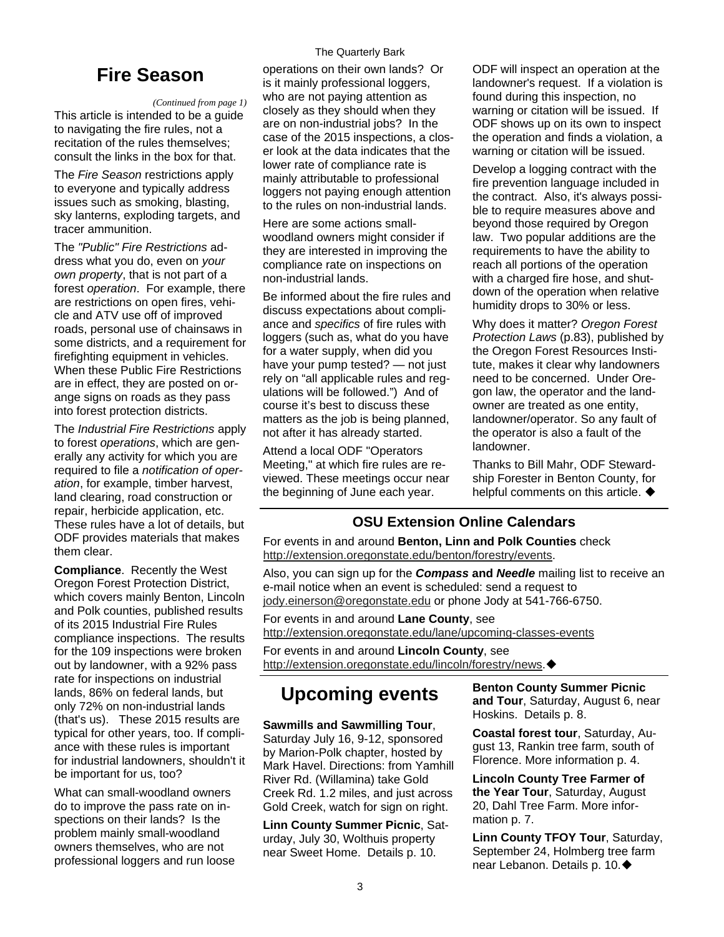## **Fire Season**

#### *(Continued from page 1)*

This article is intended to be a guide to navigating the fire rules, not a recitation of the rules themselves; consult the links in the box for that.

The *Fire Season* restrictions apply to everyone and typically address issues such as smoking, blasting, sky lanterns, exploding targets, and tracer ammunition.

The *"Public" Fire Restrictions* address what you do, even on *your own property*, that is not part of a forest *operation*. For example, there are restrictions on open fires, vehicle and ATV use off of improved roads, personal use of chainsaws in some districts, and a requirement for firefighting equipment in vehicles. When these Public Fire Restrictions are in effect, they are posted on orange signs on roads as they pass into forest protection districts.

The *Industrial Fire Restrictions* apply to forest *operations*, which are generally any activity for which you are required to file a *notification of operation*, for example, timber harvest, land clearing, road construction or repair, herbicide application, etc. These rules have a lot of details, but ODF provides materials that makes them clear.

**Compliance**. Recently the West Oregon Forest Protection District, which covers mainly Benton, Lincoln and Polk counties, published results of its 2015 Industrial Fire Rules compliance inspections. The results for the 109 inspections were broken out by landowner, with a 92% pass rate for inspections on industrial lands, 86% on federal lands, but only 72% on non-industrial lands (that's us). These 2015 results are typical for other years, too. If compliance with these rules is important for industrial landowners, shouldn't it be important for us, too?

What can small-woodland owners do to improve the pass rate on inspections on their lands? Is the problem mainly small-woodland owners themselves, who are not professional loggers and run loose

#### The Quarterly Bark

operations on their own lands? Or is it mainly professional loggers, who are not paying attention as closely as they should when they are on non-industrial jobs? In the case of the 2015 inspections, a closer look at the data indicates that the lower rate of compliance rate is mainly attributable to professional loggers not paying enough attention to the rules on non-industrial lands.

Here are some actions smallwoodland owners might consider if they are interested in improving the compliance rate on inspections on non-industrial lands.

Be informed about the fire rules and discuss expectations about compliance and *specifics* of fire rules with loggers (such as, what do you have for a water supply, when did you have your pump tested? — not just rely on "all applicable rules and regulations will be followed.") And of course it's best to discuss these matters as the job is being planned, not after it has already started.

Attend a local ODF "Operators Meeting," at which fire rules are reviewed. These meetings occur near the beginning of June each year.

ODF will inspect an operation at the landowner's request. If a violation is found during this inspection, no warning or citation will be issued. If ODF shows up on its own to inspect the operation and finds a violation, a warning or citation will be issued.

Develop a logging contract with the fire prevention language included in the contract. Also, it's always possible to require measures above and beyond those required by Oregon law. Two popular additions are the requirements to have the ability to reach all portions of the operation with a charged fire hose, and shutdown of the operation when relative humidity drops to 30% or less.

Why does it matter? *Oregon Forest Protection Laws* (p.83), published by the Oregon Forest Resources Institute, makes it clear why landowners need to be concerned. Under Oregon law, the operator and the landowner are treated as one entity, landowner/operator. So any fault of the operator is also a fault of the landowner.

Thanks to Bill Mahr, ODF Stewardship Forester in Benton County, for helpful comments on this article.  $\blacklozenge$ 

#### **OSU Extension Online Calendars**

For events in and around **Benton, Linn and Polk Counties** check [http://extension.oregonstate.edu/benton/forestry/events.](http://extension.oregonstate.edu/benton/forestry/events)

Also, you can sign up for the *Compass* **and** *Needle* mailing list to receive an e-mail notice when an event is scheduled: send a request to [jody.einerson@oregonstate.edu](mailto:jody.einerson@oregonstate.edu) or phone Jody at 541-766-6750.

For events in and around **Lane County**, see

<http://extension.oregonstate.edu/lane/upcoming-classes-events>

For events in and around **Lincoln County**, see [http://extension.oregonstate.edu/lincoln/forestry/news.](http://extension.oregonstate.edu/lincoln/forestry/news)

### **Upcoming events**

#### **Sawmills and Sawmilling Tour**,

Saturday July 16, 9-12, sponsored by Marion-Polk chapter, hosted by Mark Havel. Directions: from Yamhill River Rd. (Willamina) take Gold Creek Rd. 1.2 miles, and just across Gold Creek, watch for sign on right.

**Linn County Summer Picnic**, Saturday, July 30, Wolthuis property near Sweet Home. Details p. 10.

**Benton County Summer Picnic and Tour**, Saturday, August 6, near Hoskins. Details p. 8.

**Coastal forest tour**, Saturday, August 13, Rankin tree farm, south of Florence. More information p. 4.

**Lincoln County Tree Farmer of the Year Tour**, Saturday, August 20, Dahl Tree Farm. More information p. 7.

**Linn County TFOY Tour**, Saturday, September 24, Holmberg tree farm near Lebanon. Details p. 10.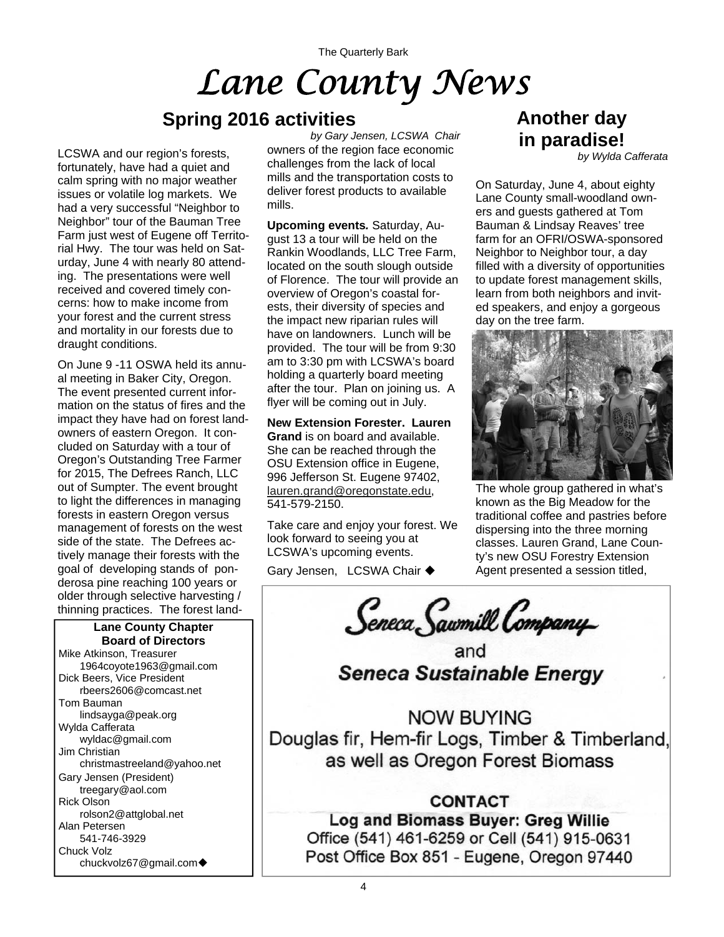The Quarterly Bark

# *Lane County News*

### **Spring 2016 activities**

LCSWA and our region's forests, fortunately, have had a quiet and calm spring with no major weather issues or volatile log markets. We had a very successful "Neighbor to Neighbor" tour of the Bauman Tree Farm just west of Eugene off Territorial Hwy. The tour was held on Saturday, June 4 with nearly 80 attending. The presentations were well received and covered timely concerns: how to make income from your forest and the current stress and mortality in our forests due to draught conditions.

On June 9 -11 OSWA held its annual meeting in Baker City, Oregon. The event presented current information on the status of fires and the impact they have had on forest landowners of eastern Oregon. It concluded on Saturday with a tour of Oregon's Outstanding Tree Farmer for 2015, The Defrees Ranch, LLC out of Sumpter. The event brought to light the differences in managing forests in eastern Oregon versus management of forests on the west side of the state. The Defrees actively manage their forests with the goal of developing stands of ponderosa pine reaching 100 years or older through selective harvesting / thinning practices. The forest land-

**Lane County Chapter Board of Directors**  Mike Atkinson, Treasurer 1964coyote1963@gmail.com Dick Beers, Vice President rbeers2606@comcast.net Tom Bauman lindsayga@peak.org Wylda Cafferata wyldac@gmail.com Jim Christian christmastreeland@yahoo.net Gary Jensen (President) treegary@aol.com Rick Olson rolson2@attglobal.net Alan Petersen 541-746-3929 Chuck Volz chuckvolz67@gmail.com

owners of the region face economic challenges from the lack of local mills and the transportation costs to deliver forest products to available mills. *by Gary Jensen, LCSWA Chair* 

**Upcoming events***.* Saturday, August 13 a tour will be held on the Rankin Woodlands, LLC Tree Farm, located on the south slough outside of Florence. The tour will provide an overview of Oregon's coastal forests, their diversity of species and the impact new riparian rules will have on landowners. Lunch will be provided. The tour will be from 9:30 am to 3:30 pm with LCSWA's board holding a quarterly board meeting after the tour. Plan on joining us. A flyer will be coming out in July.

**New Extension Forester. Lauren Grand** is on board and available. She can be reached through the OSU Extension office in Eugene, 996 Jefferson St. Eugene 97402, [lauren.grand@oregonstate.edu](mailto:lauren.grand@oregonstate.edu), 541-579-2150.

Take care and enjoy your forest. We look forward to seeing you at LCSWA's upcoming events.

Gary Jensen, LCSWA Chair ◆

# **Another day in paradise!**

*by Wylda Cafferata* 

On Saturday, June 4, about eighty Lane County small-woodland owners and guests gathered at Tom Bauman & Lindsay Reaves' tree farm for an OFRI/OSWA-sponsored Neighbor to Neighbor tour, a day filled with a diversity of opportunities to update forest management skills, learn from both neighbors and invited speakers, and enjoy a gorgeous day on the tree farm.



The whole group gathered in what's known as the Big Meadow for the traditional coffee and pastries before dispersing into the three morning classes. Lauren Grand, Lane County's new OSU Forestry Extension Agent presented a session titled,

Seneca Sawmill Company

and **Seneca Sustainable Energy** 

**NOW BUYING** Douglas fir, Hem-fir Logs, Timber & Timberland, as well as Oregon Forest Biomass

#### **CONTACT**

Log and Biomass Buyer: Greg Willie Office (541) 461-6259 or Cell (541) 915-0631 Post Office Box 851 - Eugene, Oregon 97440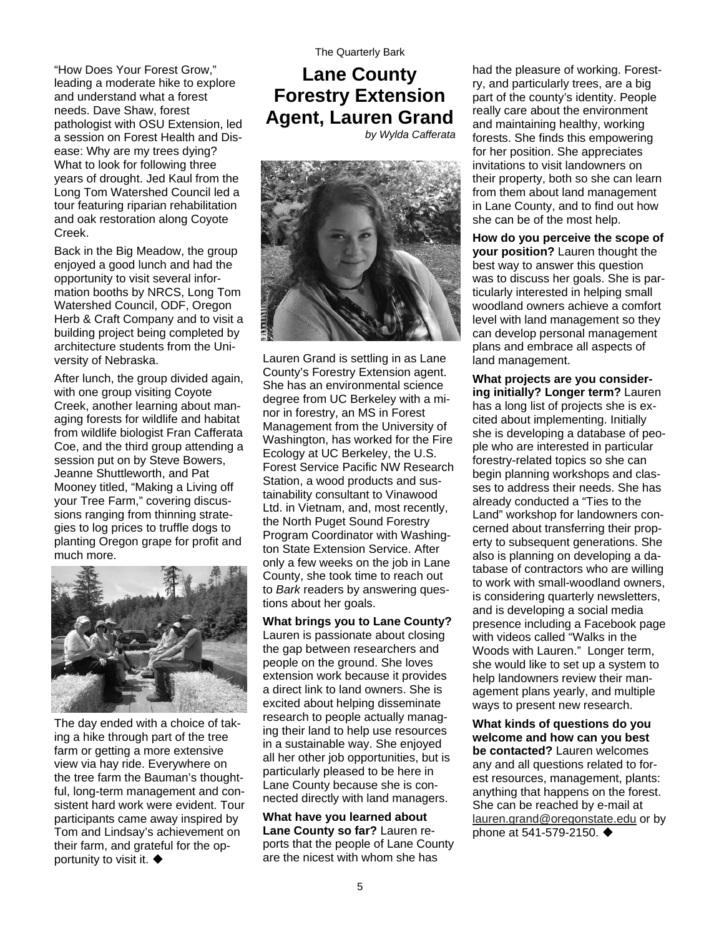#### "How Does Your Forest Grow," leading a moderate hike to explore and understand what a forest needs. Dave Shaw, forest pathologist with OSU Extension, led a session on Forest Health and Disease: Why are my trees dying? What to look for following three years of drought. Jed Kaul from the Long Tom Watershed Council led a tour featuring riparian rehabilitation and oak restoration along Coyote Creek.

Back in the Big Meadow, the group enjoyed a good lunch and had the opportunity to visit several information booths by NRCS, Long Tom Watershed Council, ODF, Oregon Herb & Craft Company and to visit a building project being completed by architecture students from the University of Nebraska.

After lunch, the group divided again, with one group visiting Coyote Creek, another learning about managing forests for wildlife and habitat from wildlife biologist Fran Cafferata Coe, and the third group attending a session put on by Steve Bowers, Jeanne Shuttleworth, and Pat Mooney titled, "Making a Living off your Tree Farm," covering discussions ranging from thinning strategies to log prices to truffle dogs to planting Oregon grape for profit and much more.



The day ended with a choice of taking a hike through part of the tree farm or getting a more extensive view via hay ride. Everywhere on the tree farm the Bauman's thoughtful, long-term management and consistent hard work were evident. Tour participants came away inspired by Tom and Lindsay's achievement on their farm, and grateful for the opportunity to visit it.  $\blacklozenge$ 

#### **Lane County Forestry Extension Agent, Lauren Grand**  *by Wylda Cafferata*



Lauren Grand is settling in as Lane County's Forestry Extension agent. She has an environmental science degree from UC Berkeley with a minor in forestry, an MS in Forest Management from the University of Washington, has worked for the Fire Ecology at UC Berkeley, the U.S. Forest Service Pacific NW Research Station, a wood products and sustainability consultant to Vinawood Ltd. in Vietnam, and, most recently, the North Puget Sound Forestry Program Coordinator with Washington State Extension Service. After only a few weeks on the job in Lane County, she took time to reach out to *Bark* readers by answering questions about her goals.

**What brings you to Lane County?**  Lauren is passionate about closing the gap between researchers and people on the ground. She loves extension work because it provides a direct link to land owners. She is excited about helping disseminate research to people actually managing their land to help use resources in a sustainable way. She enjoyed all her other job opportunities, but is particularly pleased to be here in Lane County because she is connected directly with land managers.

**What have you learned about Lane County so far?** Lauren reports that the people of Lane County are the nicest with whom she has

had the pleasure of working. Forestry, and particularly trees, are a big part of the county's identity. People really care about the environment and maintaining healthy, working forests. She finds this empowering for her position. She appreciates invitations to visit landowners on their property, both so she can learn from them about land management in Lane County, and to find out how she can be of the most help.

**How do you perceive the scope of your position?** Lauren thought the best way to answer this question was to discuss her goals. She is particularly interested in helping small woodland owners achieve a comfort level with land management so they can develop personal management plans and embrace all aspects of land management.

**What projects are you considering initially? Longer term?** Lauren has a long list of projects she is excited about implementing. Initially she is developing a database of people who are interested in particular forestry-related topics so she can begin planning workshops and classes to address their needs. She has already conducted a "Ties to the Land" workshop for landowners concerned about transferring their property to subsequent generations. She also is planning on developing a database of contractors who are willing to work with small-woodland owners, is considering quarterly newsletters, and is developing a social media presence including a Facebook page with videos called "Walks in the Woods with Lauren." Longer term, she would like to set up a system to help landowners review their management plans yearly, and multiple ways to present new research.

**What kinds of questions do you welcome and how can you best be contacted?** Lauren welcomes any and all questions related to forest resources, management, plants: anything that happens on the forest. She can be reached by e-mail at [lauren.grand@oregonstate.edu](mailto:lauren.grand@oregonstate.edu) or by phone at 541-579-2150. ♦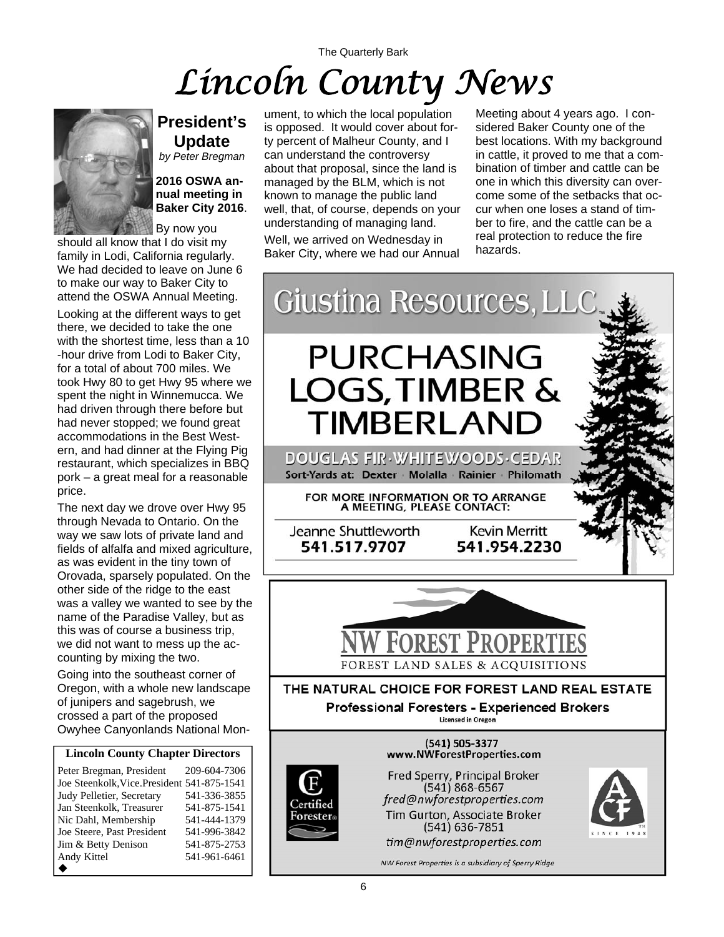# The Quarterly Bark *Lincoln County News*



By now you should all know that I do visit my family in Lodi, California regularly. We had decided to leave on June 6 to make our way to Baker City to attend the OSWA Annual Meeting.

**2016 OSWA annual meeting in Baker City 2016**.

**President's Update**  *by Peter Bregman* 

Looking at the different ways to get there, we decided to take the one with the shortest time, less than a 10 -hour drive from Lodi to Baker City, for a total of about 700 miles. We took Hwy 80 to get Hwy 95 where we spent the night in Winnemucca. We had driven through there before but had never stopped; we found great accommodations in the Best Western, and had dinner at the Flying Pig restaurant, which specializes in BBQ pork – a great meal for a reasonable price.

The next day we drove over Hwy 95 through Nevada to Ontario. On the way we saw lots of private land and fields of alfalfa and mixed agriculture, as was evident in the tiny town of Orovada, sparsely populated. On the other side of the ridge to the east was a valley we wanted to see by the name of the Paradise Valley, but as this was of course a business trip, we did not want to mess up the accounting by mixing the two.

Going into the southeast corner of Oregon, with a whole new landscape of junipers and sagebrush, we crossed a part of the proposed Owyhee Canyonlands National Mon-

#### **Lincoln County Chapter Directors**

Peter Bregman, President 209-604-7306 Joe Steenkolk,Vice.President 541-875-1541 Judy Pelletier, Secretary 541-336-3855 Jan Steenkolk, Treasurer 541-875-1541 Nic Dahl, Membership 541-444-1379<br>Joe Steere, Past President 541-996-3842 Joe Steere, Past President Jim & Betty Denison 541-875-2753 Andy Kittel 541-961-6461  $\blacklozenge$ 

ument, to which the local population is opposed. It would cover about forty percent of Malheur County, and I can understand the controversy about that proposal, since the land is managed by the BLM, which is not known to manage the public land well, that, of course, depends on your understanding of managing land. Well, we arrived on Wednesday in Baker City, where we had our Annual

Meeting about 4 years ago. I considered Baker County one of the best locations. With my background in cattle, it proved to me that a combination of timber and cattle can be one in which this diversity can overcome some of the setbacks that occur when one loses a stand of timber to fire, and the cattle can be a real protection to reduce the fire hazards.

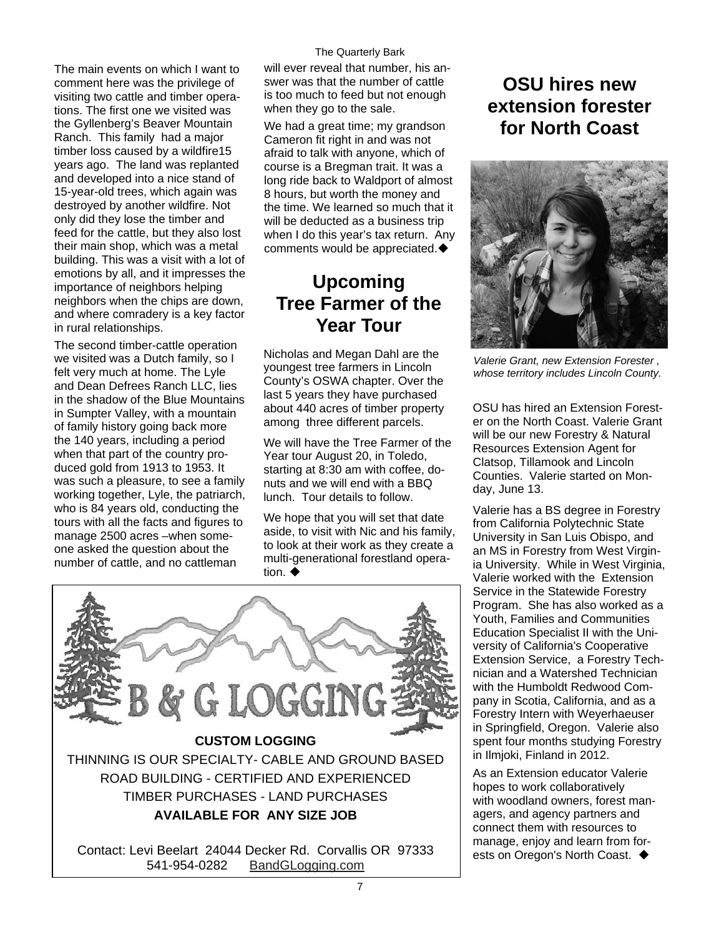The main events on which I want to comment here was the privilege of visiting two cattle and timber operations. The first one we visited was the Gyllenberg's Beaver Mountain Ranch. This family had a major timber loss caused by a wildfire15 years ago. The land was replanted and developed into a nice stand of 15-year-old trees, which again was destroyed by another wildfire. Not only did they lose the timber and feed for the cattle, but they also lost their main shop, which was a metal building. This was a visit with a lot of emotions by all, and it impresses the importance of neighbors helping neighbors when the chips are down, and where comradery is a key factor in rural relationships.

The second timber-cattle operation we visited was a Dutch family, so I felt very much at home. The Lyle and Dean Defrees Ranch LLC, lies in the shadow of the Blue Mountains in Sumpter Valley, with a mountain of family history going back more the 140 years, including a period when that part of the country produced gold from 1913 to 1953. It was such a pleasure, to see a family working together, Lyle, the patriarch, who is 84 years old, conducting the tours with all the facts and figures to manage 2500 acres –when someone asked the question about the number of cattle, and no cattleman

The Quarterly Bark

will ever reveal that number, his answer was that the number of cattle is too much to feed but not enough when they go to the sale.

We had a great time; my grandson Cameron fit right in and was not afraid to talk with anyone, which of course is a Bregman trait. It was a long ride back to Waldport of almost 8 hours, but worth the money and the time. We learned so much that it will be deducted as a business trip when I do this year's tax return. Any comments would be appreciated.

# **Upcoming Tree Farmer of the Year Tour**

Nicholas and Megan Dahl are the youngest tree farmers in Lincoln County's OSWA chapter. Over the last 5 years they have purchased about 440 acres of timber property among three different parcels.

We will have the Tree Farmer of the Year tour August 20, in Toledo, starting at 8:30 am with coffee, donuts and we will end with a BBQ lunch. Tour details to follow.

We hope that you will set that date aside, to visit with Nic and his family, to look at their work as they create a multi-generational forestland operation.  $\blacklozenge$ 



# **OSU hires new extension forester for North Coast**



*Valerie Grant, new Extension Forester , whose territory includes Lincoln County.* 

OSU has hired an Extension Forester on the North Coast. Valerie Grant will be our new Forestry & Natural Resources Extension Agent for Clatsop, Tillamook and Lincoln Counties. Valerie started on Monday, June 13.

Valerie has a BS degree in Forestry from California Polytechnic State University in San Luis Obispo, and an MS in Forestry from West Virginia University. While in West Virginia, Valerie worked with the Extension Service in the Statewide Forestry Program. She has also worked as a Youth, Families and Communities Education Specialist II with the University of California's Cooperative Extension Service, a Forestry Technician and a Watershed Technician with the Humboldt Redwood Company in Scotia, California, and as a Forestry Intern with Weyerhaeuser in Springfield, Oregon. Valerie also spent four months studying Forestry in Ilmjoki, Finland in 2012.

As an Extension educator Valerie hopes to work collaboratively with woodland owners, forest managers, and agency partners and connect them with resources to manage, enjoy and learn from forests on Oregon's North Coast. ♦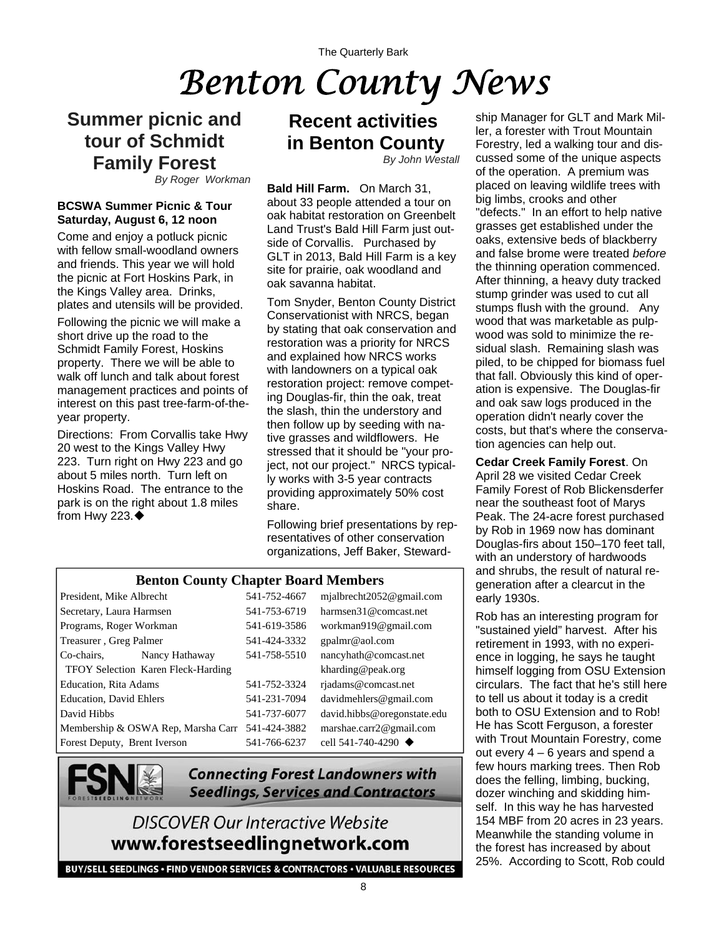# *Benton County News*

## **Summer picnic and tour of Schmidt Family Forest**

*By Roger Workman*

#### **BCSWA Summer Picnic & Tour Saturday, August 6, 12 noon**

Come and enjoy a potluck picnic with fellow small-woodland owners and friends. This year we will hold the picnic at Fort Hoskins Park, in the Kings Valley area. Drinks, plates and utensils will be provided.

Following the picnic we will make a short drive up the road to the Schmidt Family Forest, Hoskins property. There we will be able to walk off lunch and talk about forest management practices and points of interest on this past tree-farm-of-theyear property.

Directions: From Corvallis take Hwy 20 west to the Kings Valley Hwy 223. Turn right on Hwy 223 and go about 5 miles north. Turn left on Hoskins Road. The entrance to the park is on the right about 1.8 miles from Hwy 223. $\blacklozenge$ 

# **Recent activities in Benton County**

*By John Westall*

**Bald Hill Farm.** On March 31, about 33 people attended a tour on oak habitat restoration on Greenbelt Land Trust's Bald Hill Farm just outside of Corvallis. Purchased by GLT in 2013, Bald Hill Farm is a key site for prairie, oak woodland and oak savanna habitat.

Tom Snyder, Benton County District Conservationist with NRCS, began by stating that oak conservation and restoration was a priority for NRCS and explained how NRCS works with landowners on a typical oak restoration project: remove competing Douglas-fir, thin the oak, treat the slash, thin the understory and then follow up by seeding with native grasses and wildflowers. He stressed that it should be "your project, not our project." NRCS typically works with 3-5 year contracts providing approximately 50% cost share.

Following brief presentations by representatives of other conservation organizations, Jeff Baker, Steward-

#### **Benton County Chapter Board Members**

| President, Mike Albrecht           |                | 541-752-4667 | mjalbrecht2052@gmail.com          |
|------------------------------------|----------------|--------------|-----------------------------------|
| Secretary, Laura Harmsen           |                | 541-753-6719 | harmsen31@comcast.net             |
| Programs, Roger Workman            |                | 541-619-3586 | workman919@gmail.com              |
| Treasurer, Greg Palmer             |                | 541-424-3332 | gpalmr@aol.com                    |
| Co-chairs.                         | Nancy Hathaway | 541-758-5510 | nancyhath@comcast.net             |
| TFOY Selection Karen Fleck-Harding |                |              | kharding@peak.org                 |
| <b>Education, Rita Adams</b>       |                | 541-752-3324 | rjadams@comcast.net               |
| <b>Education</b> , David Ehlers    |                | 541-231-7094 | davidmenters@gmail.com            |
| David Hibbs                        |                | 541-737-6077 | david.hibbs@oregonstate.edu       |
| Membership & OSWA Rep, Marsha Carr |                | 541-424-3882 | marshae.carr2@gmail.com           |
| Forest Deputy, Brent Iverson       |                | 541-766-6237 | cell 541-740-4290 $\triangleleft$ |



**Connecting Forest Landowners with Seedlings, Services and Contractors** 

## **DISCOVER Our Interactive Website** www.forestseedlingnetwork.com

BUY/SELL SEEDLINGS · FIND VENDOR SERVICES & CONTRACTORS · VALUABLE RESOURCES

ship Manager for GLT and Mark Miller, a forester with Trout Mountain Forestry, led a walking tour and discussed some of the unique aspects of the operation. A premium was placed on leaving wildlife trees with big limbs, crooks and other "defects." In an effort to help native grasses get established under the oaks, extensive beds of blackberry and false brome were treated *before* the thinning operation commenced. After thinning, a heavy duty tracked stump grinder was used to cut all stumps flush with the ground. Any wood that was marketable as pulpwood was sold to minimize the residual slash. Remaining slash was piled, to be chipped for biomass fuel that fall. Obviously this kind of operation is expensive. The Douglas-fir and oak saw logs produced in the operation didn't nearly cover the costs, but that's where the conservation agencies can help out.

**Cedar Creek Family Forest**. On April 28 we visited Cedar Creek Family Forest of Rob Blickensderfer near the southeast foot of Marys Peak. The 24-acre forest purchased by Rob in 1969 now has dominant Douglas-firs about 150–170 feet tall, with an understory of hardwoods and shrubs, the result of natural regeneration after a clearcut in the early 1930s.

Rob has an interesting program for "sustained yield" harvest. After his retirement in 1993, with no experience in logging, he says he taught himself logging from OSU Extension circulars. The fact that he's still here to tell us about it today is a credit both to OSU Extension and to Rob! He has Scott Ferguson, a forester with Trout Mountain Forestry, come out every 4 – 6 years and spend a few hours marking trees. Then Rob does the felling, limbing, bucking, dozer winching and skidding himself. In this way he has harvested 154 MBF from 20 acres in 23 years. Meanwhile the standing volume in the forest has increased by about 25%. According to Scott, Rob could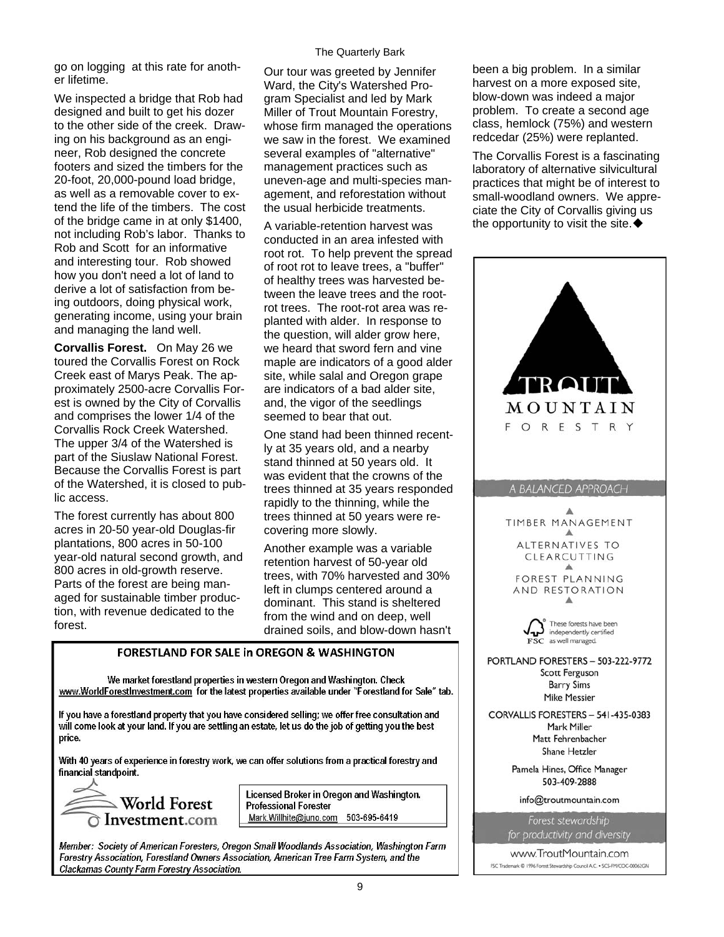go on logging at this rate for another lifetime.

We inspected a bridge that Rob had designed and built to get his dozer to the other side of the creek. Drawing on his background as an engineer, Rob designed the concrete footers and sized the timbers for the 20-foot, 20,000-pound load bridge, as well as a removable cover to extend the life of the timbers. The cost of the bridge came in at only \$1400, not including Rob's labor. Thanks to Rob and Scott for an informative and interesting tour. Rob showed how you don't need a lot of land to derive a lot of satisfaction from being outdoors, doing physical work, generating income, using your brain and managing the land well.

**Corvallis Forest.** On May 26 we toured the Corvallis Forest on Rock Creek east of Marys Peak. The approximately 2500-acre Corvallis Forest is owned by the City of Corvallis and comprises the lower 1/4 of the Corvallis Rock Creek Watershed. The upper 3/4 of the Watershed is part of the Siuslaw National Forest. Because the Corvallis Forest is part of the Watershed, it is closed to public access.

The forest currently has about 800 acres in 20-50 year-old Douglas-fir plantations, 800 acres in 50-100 year-old natural second growth, and 800 acres in old-growth reserve. Parts of the forest are being managed for sustainable timber production, with revenue dedicated to the forest.

#### The Quarterly Bark

Our tour was greeted by Jennifer Ward, the City's Watershed Program Specialist and led by Mark Miller of Trout Mountain Forestry, whose firm managed the operations we saw in the forest. We examined several examples of "alternative" management practices such as uneven-age and multi-species management, and reforestation without the usual herbicide treatments.

A variable-retention harvest was conducted in an area infested with root rot. To help prevent the spread of root rot to leave trees, a "buffer" of healthy trees was harvested between the leave trees and the rootrot trees. The root-rot area was replanted with alder. In response to the question, will alder grow here, we heard that sword fern and vine maple are indicators of a good alder site, while salal and Oregon grape are indicators of a bad alder site, and, the vigor of the seedlings seemed to bear that out.

One stand had been thinned recently at 35 years old, and a nearby stand thinned at 50 years old. It was evident that the crowns of the trees thinned at 35 years responded rapidly to the thinning, while the trees thinned at 50 years were recovering more slowly.

Another example was a variable retention harvest of 50-year old trees, with 70% harvested and 30% left in clumps centered around a dominant. This stand is sheltered from the wind and on deep, well drained soils, and blow-down hasn't

#### **FORESTLAND FOR SALE in OREGON & WASHINGTON**

We market forestland properties in western Oregon and Washington. Check www.WorldForestInvestment.com for the latest properties available under "Forestland for Sale" tab.

If you have a forestland property that you have considered selling; we offer free consultation and will come look at your land. If you are settling an estate, let us do the job of getting you the best price.

With 40 years of experience in forestry work, we can offer solutions from a practical forestry and financial standpoint.



Licensed Broker in Oregon and Washington. **Professional Forester** Mark.Willhite@juno.com 503-695-6419

Member: Society of American Foresters, Oregon Small Woodlands Association, Washington Farm Forestry Association, Forestland Owners Association, American Tree Farm System, and the Clackamas County Farm Forestry Association.

been a big problem. In a similar harvest on a more exposed site, blow-down was indeed a major problem. To create a second age class, hemlock (75%) and western redcedar (25%) were replanted.

The Corvallis Forest is a fascinating laboratory of alternative silvicultural practices that might be of interest to small-woodland owners. We appreciate the City of Corvallis giving us the opportunity to visit the site.  $\blacklozenge$ 

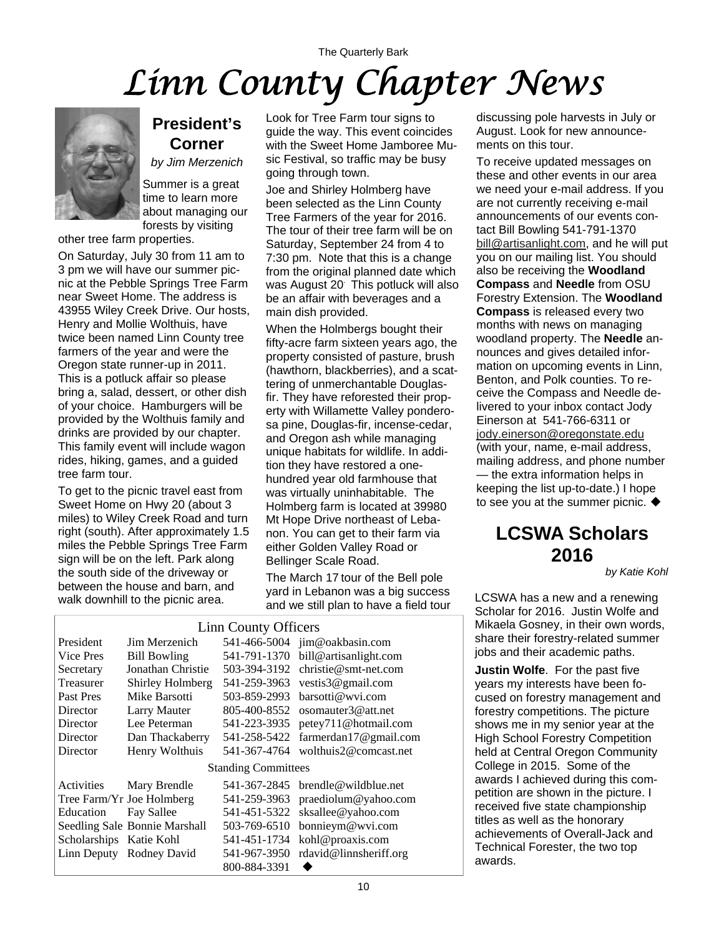# The Quarterly Bark *Linn County Chapter News*



#### **President's Corner**

*by Jim Merzenich*

Summer is a great time to learn more about managing our forests by visiting

other tree farm properties.

On Saturday, July 30 from 11 am to 3 pm we will have our summer picnic at the Pebble Springs Tree Farm near Sweet Home. The address is 43955 Wiley Creek Drive. Our hosts, Henry and Mollie Wolthuis, have twice been named Linn County tree farmers of the year and were the Oregon state runner-up in 2011. This is a potluck affair so please bring a, salad, dessert, or other dish of your choice. Hamburgers will be provided by the Wolthuis family and drinks are provided by our chapter. This family event will include wagon rides, hiking, games, and a guided tree farm tour.

To get to the picnic travel east from Sweet Home on Hwy 20 (about 3 miles) to Wiley Creek Road and turn right (south). After approximately 1.5 miles the Pebble Springs Tree Farm sign will be on the left. Park along the south side of the driveway or between the house and barn, and walk downhill to the picnic area.

Look for Tree Farm tour signs to guide the way. This event coincides with the Sweet Home Jamboree Music Festival, so traffic may be busy going through town.

Joe and Shirley Holmberg have been selected as the Linn County Tree Farmers of the year for 2016. The tour of their tree farm will be on Saturday, September 24 from 4 to 7:30 pm. Note that this is a change from the original planned date which was August 20. This potluck will also be an affair with beverages and a main dish provided.

When the Holmbergs bought their fifty-acre farm sixteen years ago, the property consisted of pasture, brush (hawthorn, blackberries), and a scattering of unmerchantable Douglasfir. They have reforested their property with Willamette Valley ponderosa pine, Douglas-fir, incense-cedar, and Oregon ash while managing unique habitats for wildlife. In addition they have restored a onehundred year old farmhouse that was virtually uninhabitable. The Holmberg farm is located at 39980 Mt Hope Drive northeast of Lebanon. You can get to their farm via either Golden Valley Road or Bellinger Scale Road.

The March 17 tour of the Bell pole yard in Lebanon was a big success yard in Lebarion was a big success<br>and we still plan to have a field tour<br>Repeated for 2016, but in Malfa and

| Linn County Officers       |                               |              |                         |  |
|----------------------------|-------------------------------|--------------|-------------------------|--|
| President                  | Jim Merzenich                 | 541-466-5004 | jim@oakbasin.com        |  |
| Vice Pres                  | <b>Bill Bowling</b>           | 541-791-1370 | bill@artisanlight.com   |  |
| Secretary                  | Jonathan Christie             | 503-394-3192 | $christie@smt-net.com$  |  |
| Treasurer                  | Shirley Holmberg              | 541-259-3963 | vestis $3@$ gmail.com   |  |
| Past Pres                  | Mike Barsotti                 | 503-859-2993 | barsotti@wvi.com        |  |
| Director                   | Larry Mauter                  | 805-400-8552 | osomauter $3@$ att.net  |  |
| Director                   | Lee Peterman                  | 541-223-3935 | petey711@hotmail.com    |  |
| Director                   | Dan Thackaberry               | 541-258-5422 | farmerdan17@gmail.com   |  |
| Director                   | Henry Wolthuis                | 541-367-4764 | wolthuis2@comcast.net   |  |
| <b>Standing Committees</b> |                               |              |                         |  |
| Activities                 | Mary Brendle                  | 541-367-2845 | $b$ rendle@wildblue.net |  |
|                            | Tree Farm/Yr Joe Holmberg     | 541-259-3963 | pracdiolum@yahoo.com    |  |
| Education                  | <b>Fay Sallee</b>             | 541-451-5322 | sksallee@yahoo.com      |  |
|                            | Seedling Sale Bonnie Marshall | 503-769-6510 | bonnieym@wvi.com        |  |
| Scholarships Katie Kohl    |                               | 541-451-1734 | kohl@proaxis.com        |  |
|                            | Linn Deputy Rodney David      | 541-967-3950 | rdavid@linnsheriff.org  |  |
|                            |                               | 800-884-3391 |                         |  |

discussing pole harvests in July or August. Look for new announcements on this tour.

To receive updated messages on these and other events in our area we need your e-mail address. If you are not currently receiving e-mail announcements of our events contact Bill Bowling 541-791-1370 [bill@artisanlight.com](mailto:bill@artisanlight.com), and he will put you on our mailing list. You should also be receiving the **Woodland Compass** and **Needle** from OSU Forestry Extension. The **Woodland Compass** is released every two months with news on managing woodland property. The **Needle** announces and gives detailed information on upcoming events in Linn, Benton, and Polk counties. To receive the Compass and Needle delivered to your inbox contact Jody Einerson at 541-766-6311 or [jody.einerson@oregonstate.edu](mailto:jody.einerson@oregonstate.edu) (with your, name, e-mail address, mailing address, and phone number — the extra information helps in keeping the list up-to-date.) I hope to see you at the summer picnic.  $\blacklozenge$ 

# **LCSWA Scholars 2016**

*by Katie Kohl* 

Scholar for 2016. Justin Wolfe and Mikaela Gosney, in their own words, share their forestry-related summer jobs and their academic paths.

**Justin Wolfe**. For the past five years my interests have been focused on forestry management and forestry competitions. The picture shows me in my senior year at the High School Forestry Competition held at Central Oregon Community College in 2015. Some of the awards I achieved during this competition are shown in the picture. I received five state championship titles as well as the honorary achievements of Overall-Jack and Technical Forester, the two top awards.

#### Linn County Officers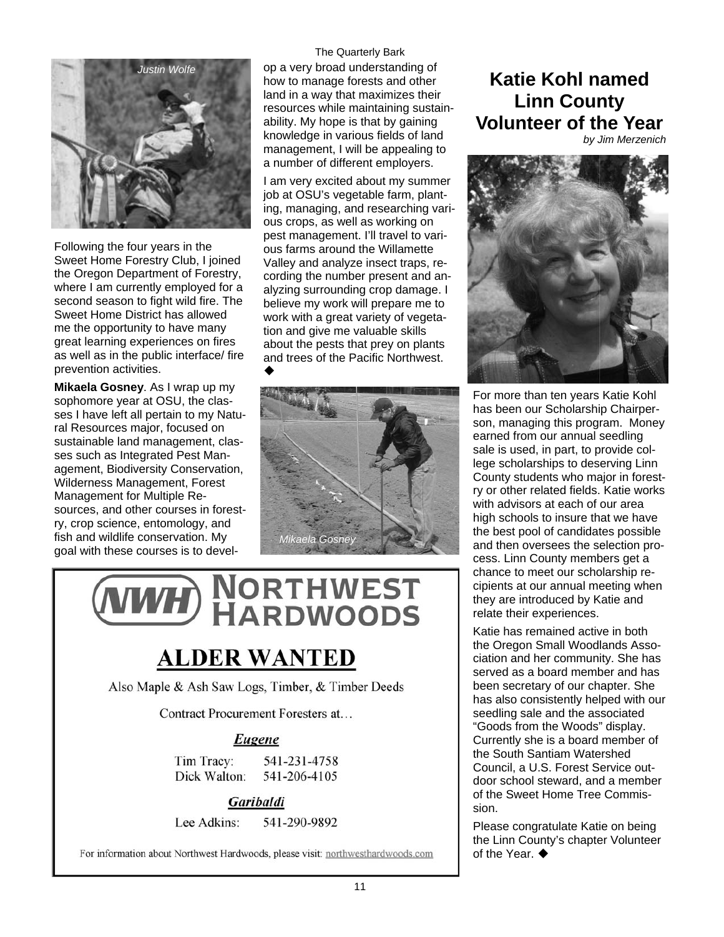

Following the four years in the Sweet Home Forestry Club, I joined the Oregon Department of Forestry, where I am currently employed for a second season to fight wild fire. The Sweet Home District has allowed me the opportunity to have many great learning experiences on fires as well as in the public interface/ fire prevention activities.

**Mikaela Gosney**. As I wrap up my sophomore year at OSU, the classes I have left all pertain to my Natural Resources major, focused on sustainable land management, classes such as Integrated Pest Management, Biodiversity Conservation, Wilderness Management, Forest Management for Multiple Resources, and other courses in forestry, crop science, entomology, and fish and wildlife conservation. My goal with these courses is to develThe Quarterly Bark

op a very broad understanding of how to manage forests and other land in a way that maximizes their resources while maintaining sustainability. My hope is that by gaining knowledge in various fields of land management, I will be appealing to a number of different employers.

I am very excited about my summer job at OSU's vegetable farm, planting, managing, and researching various crops, as well as working on pest management. I'll travel to various farms around the Willamette Valley and analyze insect traps, recording the number present and analyzing surrounding crop damage. I believe my work will prepare me to work with a great variety of vegetation and give me valuable skills about the pests that prey on plants and trees of the Pacific Northwest. ٠



# **NORTHWEST**<br>HARDWOODS

# **ALDER WANTED**

Also Maple & Ash Saw Logs, Timber, & Timber Deeds

Contract Procurement Foresters at...

#### Eugene

541-231-4758 Tim Tracy: 541-206-4105 Dick Walton:

Garibaldi

Lee Adkins: 541-290-9892

For information about Northwest Hardwoods, please visit: northwesthardwoods.com

# **Katie Kohl named Linn County Volunteer of the Year**

*by Jim Merzenich* 



For more than ten years Katie Kohl has been our Scholarship Chairperson, managing this program. Money earned from our annual seedling sale is used, in part, to provide college scholarships to deserving Linn County students who major in forestry or other related fields. Katie works with advisors at each of our area high schools to insure that we have the best pool of candidates possible and then oversees the selection process. Linn County members get a chance to meet our scholarship recipients at our annual meeting when they are introduced by Katie and relate their experiences.

Katie has remained active in both the Oregon Small Woodlands Association and her community. She has served as a board member and has been secretary of our chapter. She has also consistently helped with our seedling sale and the associated "Goods from the Woods" display. Currently she is a board member of the South Santiam Watershed Council, a U.S. Forest Service outdoor school steward, and a member of the Sweet Home Tree Commission.

Please congratulate Katie on being the Linn County's chapter Volunteer of the Year.